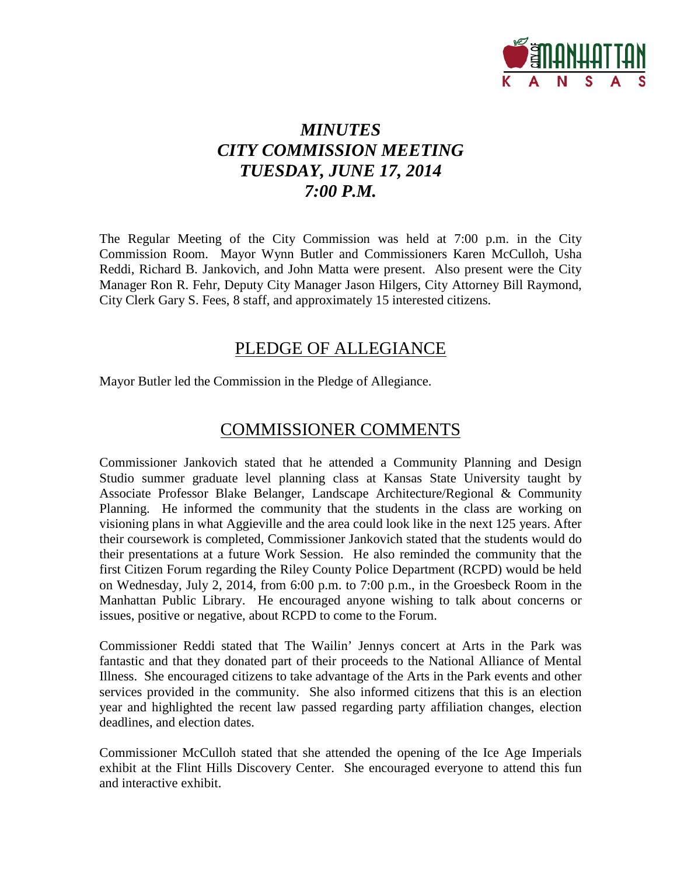

## *MINUTES CITY COMMISSION MEETING TUESDAY, JUNE 17, 2014 7:00 P.M.*

The Regular Meeting of the City Commission was held at 7:00 p.m. in the City Commission Room. Mayor Wynn Butler and Commissioners Karen McCulloh, Usha Reddi, Richard B. Jankovich, and John Matta were present. Also present were the City Manager Ron R. Fehr, Deputy City Manager Jason Hilgers, City Attorney Bill Raymond, City Clerk Gary S. Fees, 8 staff, and approximately 15 interested citizens.

## PLEDGE OF ALLEGIANCE

Mayor Butler led the Commission in the Pledge of Allegiance.

## COMMISSIONER COMMENTS

Commissioner Jankovich stated that he attended a Community Planning and Design Studio summer graduate level planning class at Kansas State University taught by Associate Professor Blake Belanger, Landscape Architecture/Regional & Community Planning. He informed the community that the students in the class are working on visioning plans in what Aggieville and the area could look like in the next 125 years. After their coursework is completed, Commissioner Jankovich stated that the students would do their presentations at a future Work Session. He also reminded the community that the first Citizen Forum regarding the Riley County Police Department (RCPD) would be held on Wednesday, July 2, 2014, from 6:00 p.m. to 7:00 p.m., in the Groesbeck Room in the Manhattan Public Library. He encouraged anyone wishing to talk about concerns or issues, positive or negative, about RCPD to come to the Forum.

Commissioner Reddi stated that The Wailin' Jennys concert at Arts in the Park was fantastic and that they donated part of their proceeds to the National Alliance of Mental Illness. She encouraged citizens to take advantage of the Arts in the Park events and other services provided in the community. She also informed citizens that this is an election year and highlighted the recent law passed regarding party affiliation changes, election deadlines, and election dates.

Commissioner McCulloh stated that she attended the opening of the Ice Age Imperials exhibit at the Flint Hills Discovery Center. She encouraged everyone to attend this fun and interactive exhibit.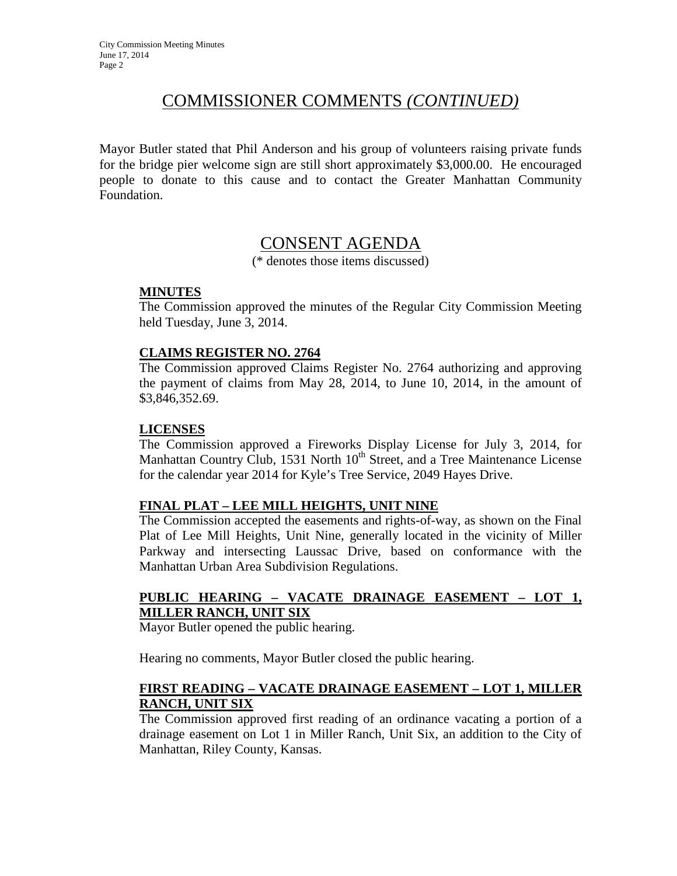## COMMISSIONER COMMENTS *(CONTINUED)*

Mayor Butler stated that Phil Anderson and his group of volunteers raising private funds for the bridge pier welcome sign are still short approximately \$3,000.00. He encouraged people to donate to this cause and to contact the Greater Manhattan Community Foundation.

## CONSENT AGENDA

(\* denotes those items discussed)

#### **MINUTES**

The Commission approved the minutes of the Regular City Commission Meeting held Tuesday, June 3, 2014.

#### **CLAIMS REGISTER NO. 2764**

The Commission approved Claims Register No. 2764 authorizing and approving the payment of claims from May 28, 2014, to June 10, 2014, in the amount of \$3,846,352.69.

#### **LICENSES**

The Commission approved a Fireworks Display License for July 3, 2014, for Manhattan Country Club, 1531 North  $10<sup>th</sup>$  Street, and a Tree Maintenance License for the calendar year 2014 for Kyle's Tree Service, 2049 Hayes Drive.

#### **FINAL PLAT – LEE MILL HEIGHTS, UNIT NINE**

The Commission accepted the easements and rights-of-way, as shown on the Final Plat of Lee Mill Heights, Unit Nine, generally located in the vicinity of Miller Parkway and intersecting Laussac Drive, based on conformance with the Manhattan Urban Area Subdivision Regulations.

### **PUBLIC HEARING – VACATE DRAINAGE EASEMENT – LOT 1, MILLER RANCH, UNIT SIX**

Mayor Butler opened the public hearing.

Hearing no comments, Mayor Butler closed the public hearing.

#### **FIRST READING – VACATE DRAINAGE EASEMENT – LOT 1, MILLER RANCH, UNIT SIX**

The Commission approved first reading of an ordinance vacating a portion of a drainage easement on Lot 1 in Miller Ranch, Unit Six, an addition to the City of Manhattan, Riley County, Kansas.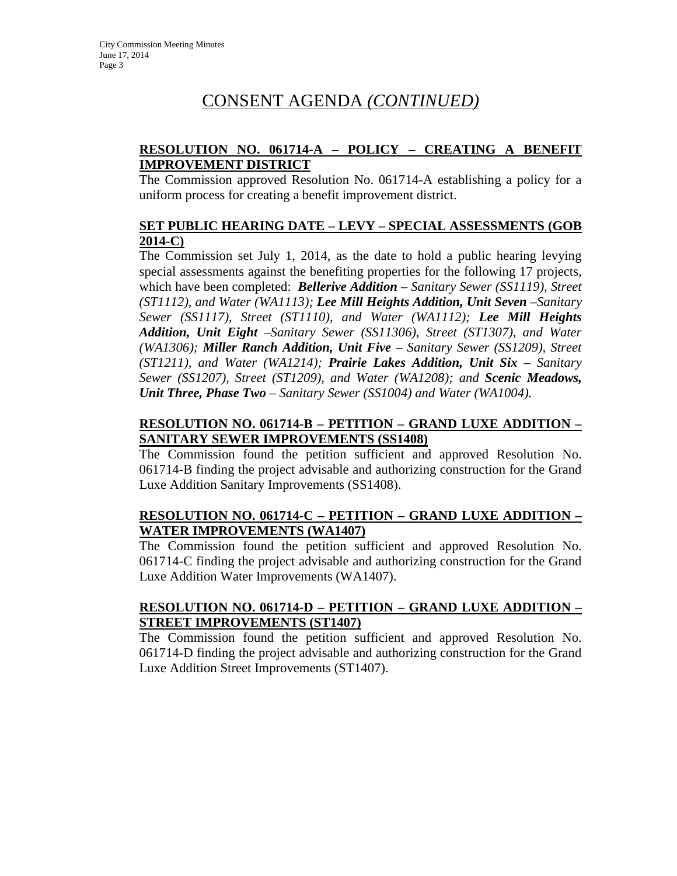#### **RESOLUTION NO. 061714-A – POLICY – CREATING A BENEFIT IMPROVEMENT DISTRICT**

The Commission approved Resolution No. 061714-A establishing a policy for a uniform process for creating a benefit improvement district.

#### **SET PUBLIC HEARING DATE – LEVY – SPECIAL ASSESSMENTS (GOB 2014-C)**

The Commission set July 1, 2014, as the date to hold a public hearing levying special assessments against the benefiting properties for the following 17 projects, which have been completed: *Bellerive Addition – Sanitary Sewer (SS1119), Street (ST1112), and Water (WA1113); Lee Mill Heights Addition, Unit Seven - Sanitary Sewer (SS1117), Street (ST1110), and Water (WA1112); Lee Mill Heights Addition, Unit Eight –Sanitary Sewer (SS11306), Street (ST1307), and Water (WA1306); Miller Ranch Addition, Unit Five – Sanitary Sewer (SS1209), Street (ST1211), and Water (WA1214); Prairie Lakes Addition, Unit Six – Sanitary Sewer (SS1207), Street (ST1209), and Water (WA1208); and Scenic Meadows, Unit Three, Phase Two – Sanitary Sewer (SS1004) and Water (WA1004).*

#### **RESOLUTION NO. 061714-B – PETITION – GRAND LUXE ADDITION – SANITARY SEWER IMPROVEMENTS (SS1408)**

The Commission found the petition sufficient and approved Resolution No. 061714-B finding the project advisable and authorizing construction for the Grand Luxe Addition Sanitary Improvements (SS1408).

#### **RESOLUTION NO. 061714-C – PETITION – GRAND LUXE ADDITION – WATER IMPROVEMENTS (WA1407)**

The Commission found the petition sufficient and approved Resolution No. 061714-C finding the project advisable and authorizing construction for the Grand Luxe Addition Water Improvements (WA1407).

#### **RESOLUTION NO. 061714-D – PETITION – GRAND LUXE ADDITION – STREET IMPROVEMENTS (ST1407)**

The Commission found the petition sufficient and approved Resolution No. 061714-D finding the project advisable and authorizing construction for the Grand Luxe Addition Street Improvements (ST1407).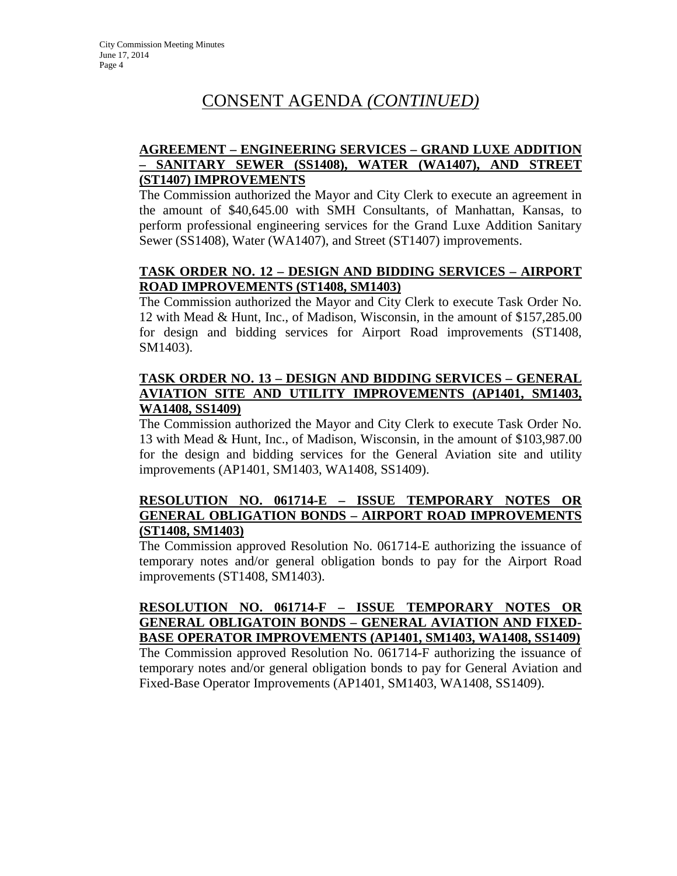#### **AGREEMENT – ENGINEERING SERVICES – GRAND LUXE ADDITION – SANITARY SEWER (SS1408), WATER (WA1407), AND STREET (ST1407) IMPROVEMENTS**

The Commission authorized the Mayor and City Clerk to execute an agreement in the amount of \$40,645.00 with SMH Consultants, of Manhattan, Kansas, to perform professional engineering services for the Grand Luxe Addition Sanitary Sewer (SS1408), Water (WA1407), and Street (ST1407) improvements.

#### **TASK ORDER NO. 12 – DESIGN AND BIDDING SERVICES – AIRPORT ROAD IMPROVEMENTS (ST1408, SM1403)**

The Commission authorized the Mayor and City Clerk to execute Task Order No. 12 with Mead & Hunt, Inc., of Madison, Wisconsin, in the amount of \$157,285.00 for design and bidding services for Airport Road improvements (ST1408, SM1403).

#### **TASK ORDER NO. 13 – DESIGN AND BIDDING SERVICES – GENERAL AVIATION SITE AND UTILITY IMPROVEMENTS (AP1401, SM1403, WA1408, SS1409)**

The Commission authorized the Mayor and City Clerk to execute Task Order No. 13 with Mead & Hunt, Inc., of Madison, Wisconsin, in the amount of \$103,987.00 for the design and bidding services for the General Aviation site and utility improvements (AP1401, SM1403, WA1408, SS1409).

#### **RESOLUTION NO. 061714-E – ISSUE TEMPORARY NOTES OR GENERAL OBLIGATION BONDS – AIRPORT ROAD IMPROVEMENTS (ST1408, SM1403)**

The Commission approved Resolution No. 061714-E authorizing the issuance of temporary notes and/or general obligation bonds to pay for the Airport Road improvements (ST1408, SM1403).

#### **RESOLUTION NO. 061714-F – ISSUE TEMPORARY NOTES OR GENERAL OBLIGATOIN BONDS – GENERAL AVIATION AND FIXED-BASE OPERATOR IMPROVEMENTS (AP1401, SM1403, WA1408, SS1409)**

The Commission approved Resolution No. 061714-F authorizing the issuance of temporary notes and/or general obligation bonds to pay for General Aviation and Fixed-Base Operator Improvements (AP1401, SM1403, WA1408, SS1409).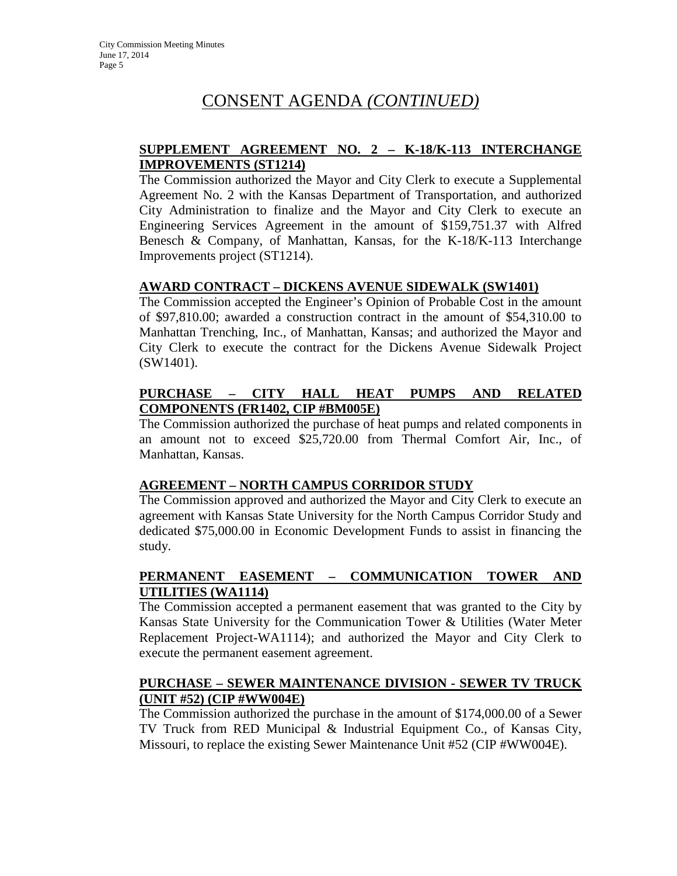#### **SUPPLEMENT AGREEMENT NO. 2 – K-18/K-113 INTERCHANGE IMPROVEMENTS (ST1214)**

The Commission authorized the Mayor and City Clerk to execute a Supplemental Agreement No. 2 with the Kansas Department of Transportation, and authorized City Administration to finalize and the Mayor and City Clerk to execute an Engineering Services Agreement in the amount of \$159,751.37 with Alfred Benesch & Company, of Manhattan, Kansas, for the K-18/K-113 Interchange Improvements project (ST1214).

#### **AWARD CONTRACT – DICKENS AVENUE SIDEWALK (SW1401)**

The Commission accepted the Engineer's Opinion of Probable Cost in the amount of \$97,810.00; awarded a construction contract in the amount of \$54,310.00 to Manhattan Trenching, Inc., of Manhattan, Kansas; and authorized the Mayor and City Clerk to execute the contract for the Dickens Avenue Sidewalk Project (SW1401).

#### **PURCHASE – CITY HALL HEAT PUMPS AND RELATED COMPONENTS (FR1402, CIP #BM005E)**

The Commission authorized the purchase of heat pumps and related components in an amount not to exceed \$25,720.00 from Thermal Comfort Air, Inc., of Manhattan, Kansas.

#### **AGREEMENT – NORTH CAMPUS CORRIDOR STUDY**

The Commission approved and authorized the Mayor and City Clerk to execute an agreement with Kansas State University for the North Campus Corridor Study and dedicated \$75,000.00 in Economic Development Funds to assist in financing the study.

#### **PERMANENT EASEMENT – COMMUNICATION TOWER AND UTILITIES (WA1114)**

The Commission accepted a permanent easement that was granted to the City by Kansas State University for the Communication Tower & Utilities (Water Meter Replacement Project-WA1114); and authorized the Mayor and City Clerk to execute the permanent easement agreement.

#### **PURCHASE – SEWER MAINTENANCE DIVISION - SEWER TV TRUCK (UNIT #52) (CIP #WW004E)**

The Commission authorized the purchase in the amount of \$174,000.00 of a Sewer TV Truck from RED Municipal & Industrial Equipment Co., of Kansas City, Missouri, to replace the existing Sewer Maintenance Unit #52 (CIP #WW004E).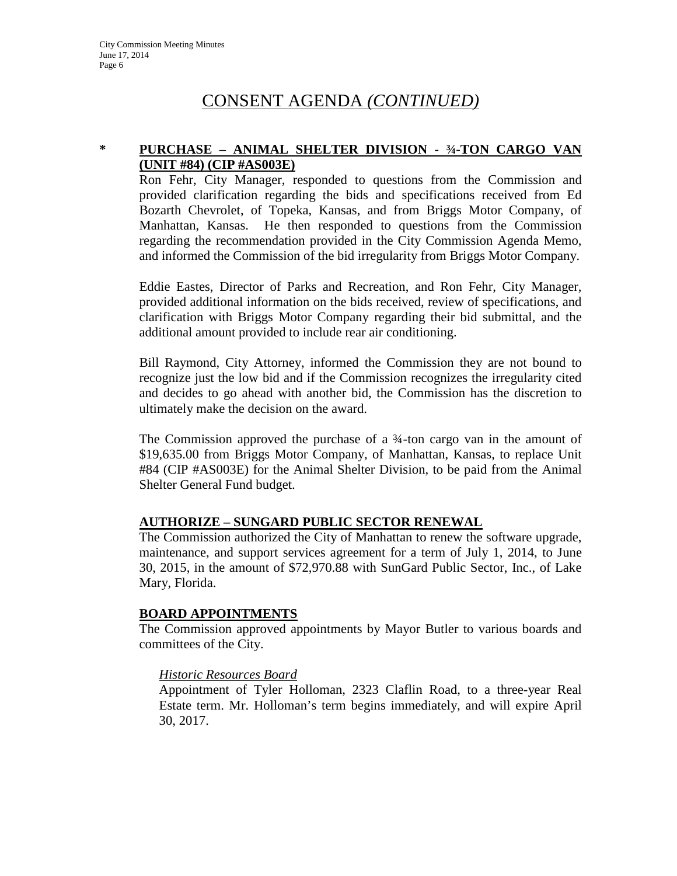### **\* PURCHASE – ANIMAL SHELTER DIVISION - ¾-TON CARGO VAN (UNIT #84) (CIP #AS003E)**

Ron Fehr, City Manager, responded to questions from the Commission and provided clarification regarding the bids and specifications received from Ed Bozarth Chevrolet, of Topeka, Kansas, and from Briggs Motor Company, of Manhattan, Kansas. He then responded to questions from the Commission regarding the recommendation provided in the City Commission Agenda Memo, and informed the Commission of the bid irregularity from Briggs Motor Company.

Eddie Eastes, Director of Parks and Recreation, and Ron Fehr, City Manager, provided additional information on the bids received, review of specifications, and clarification with Briggs Motor Company regarding their bid submittal, and the additional amount provided to include rear air conditioning.

Bill Raymond, City Attorney, informed the Commission they are not bound to recognize just the low bid and if the Commission recognizes the irregularity cited and decides to go ahead with another bid, the Commission has the discretion to ultimately make the decision on the award.

The Commission approved the purchase of a ¾-ton cargo van in the amount of \$19,635.00 from Briggs Motor Company, of Manhattan, Kansas, to replace Unit #84 (CIP #AS003E) for the Animal Shelter Division, to be paid from the Animal Shelter General Fund budget.

#### **AUTHORIZE – SUNGARD PUBLIC SECTOR RENEWAL**

The Commission authorized the City of Manhattan to renew the software upgrade, maintenance, and support services agreement for a term of July 1, 2014, to June 30, 2015, in the amount of \$72,970.88 with SunGard Public Sector, Inc., of Lake Mary, Florida.

#### **BOARD APPOINTMENTS**

The Commission approved appointments by Mayor Butler to various boards and committees of the City.

#### *Historic Resources Board*

Appointment of Tyler Holloman, 2323 Claflin Road, to a three-year Real Estate term. Mr. Holloman's term begins immediately, and will expire April 30, 2017.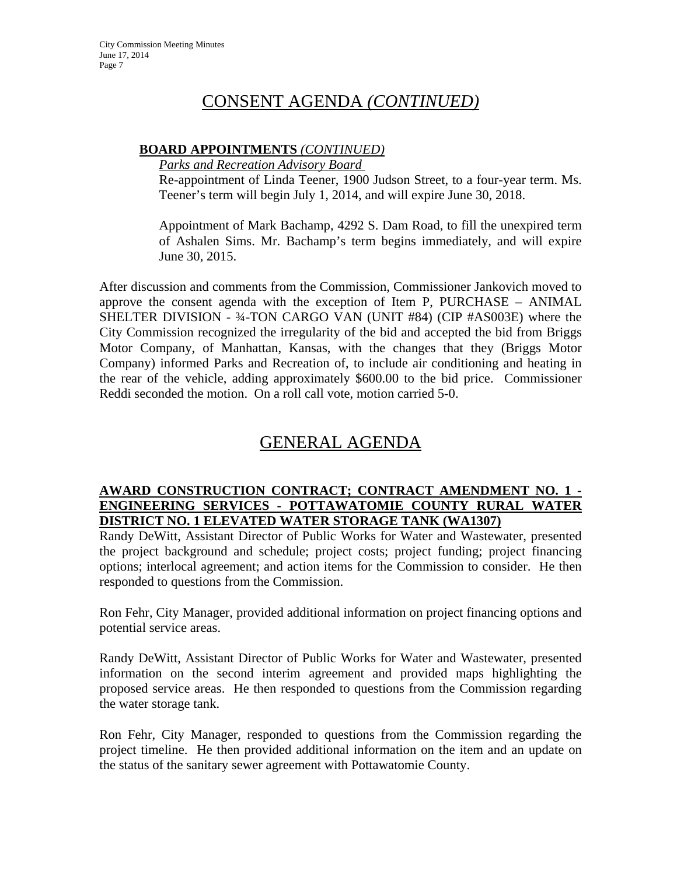#### **BOARD APPOINTMENTS** *(CONTINUED)*

*Parks and Recreation Advisory Board* 

Re-appointment of Linda Teener, 1900 Judson Street, to a four-year term. Ms. Teener's term will begin July 1, 2014, and will expire June 30, 2018.

Appointment of Mark Bachamp, 4292 S. Dam Road, to fill the unexpired term of Ashalen Sims. Mr. Bachamp's term begins immediately, and will expire June 30, 2015.

After discussion and comments from the Commission, Commissioner Jankovich moved to approve the consent agenda with the exception of Item P, PURCHASE – ANIMAL SHELTER DIVISION - ¾-TON CARGO VAN (UNIT #84) (CIP #AS003E) where the City Commission recognized the irregularity of the bid and accepted the bid from Briggs Motor Company, of Manhattan, Kansas, with the changes that they (Briggs Motor Company) informed Parks and Recreation of, to include air conditioning and heating in the rear of the vehicle, adding approximately \$600.00 to the bid price. Commissioner Reddi seconded the motion. On a roll call vote, motion carried 5-0.

## GENERAL AGENDA

#### **AWARD CONSTRUCTION CONTRACT; CONTRACT AMENDMENT NO. 1 - ENGINEERING SERVICES - POTTAWATOMIE COUNTY RURAL WATER DISTRICT NO. 1 ELEVATED WATER STORAGE TANK (WA1307)**

Randy DeWitt, Assistant Director of Public Works for Water and Wastewater, presented the project background and schedule; project costs; project funding; project financing options; interlocal agreement; and action items for the Commission to consider. He then responded to questions from the Commission.

Ron Fehr, City Manager, provided additional information on project financing options and potential service areas.

Randy DeWitt, Assistant Director of Public Works for Water and Wastewater, presented information on the second interim agreement and provided maps highlighting the proposed service areas. He then responded to questions from the Commission regarding the water storage tank.

Ron Fehr, City Manager, responded to questions from the Commission regarding the project timeline. He then provided additional information on the item and an update on the status of the sanitary sewer agreement with Pottawatomie County.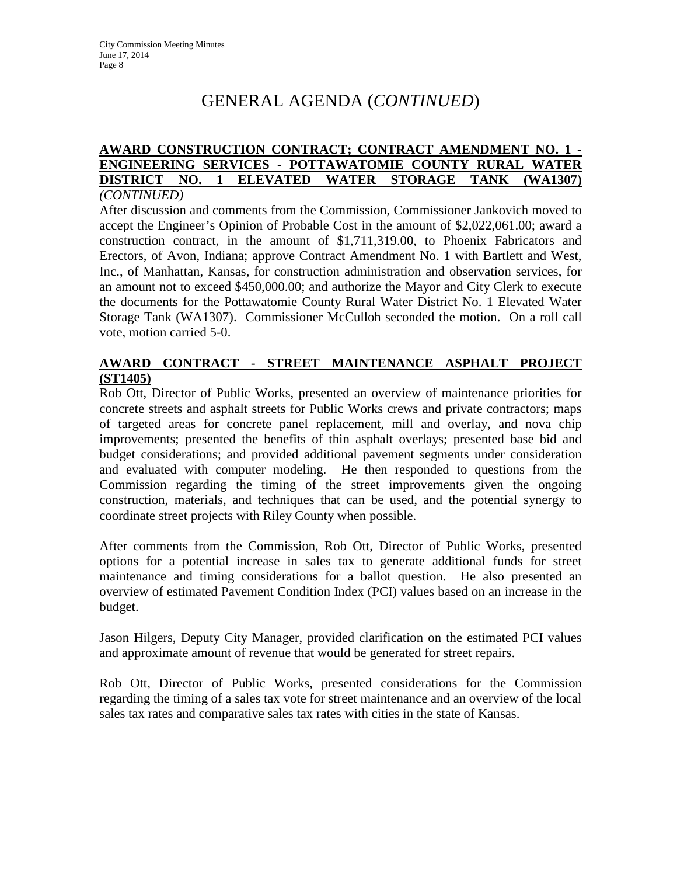# GENERAL AGENDA (*CONTINUED*)

#### **AWARD CONSTRUCTION CONTRACT; CONTRACT AMENDMENT NO. 1 - ENGINEERING SERVICES - POTTAWATOMIE COUNTY RURAL WATER DISTRICT NO. 1 ELEVATED WATER STORAGE TANK (WA1307)** *(CONTINUED)*

After discussion and comments from the Commission, Commissioner Jankovich moved to accept the Engineer's Opinion of Probable Cost in the amount of \$2,022,061.00; award a construction contract, in the amount of \$1,711,319.00, to Phoenix Fabricators and Erectors, of Avon, Indiana; approve Contract Amendment No. 1 with Bartlett and West, Inc., of Manhattan, Kansas, for construction administration and observation services, for an amount not to exceed \$450,000.00; and authorize the Mayor and City Clerk to execute the documents for the Pottawatomie County Rural Water District No. 1 Elevated Water Storage Tank (WA1307). Commissioner McCulloh seconded the motion. On a roll call vote, motion carried 5-0.

#### **AWARD CONTRACT - STREET MAINTENANCE ASPHALT PROJECT (ST1405)**

Rob Ott, Director of Public Works, presented an overview of maintenance priorities for concrete streets and asphalt streets for Public Works crews and private contractors; maps of targeted areas for concrete panel replacement, mill and overlay, and nova chip improvements; presented the benefits of thin asphalt overlays; presented base bid and budget considerations; and provided additional pavement segments under consideration and evaluated with computer modeling. He then responded to questions from the Commission regarding the timing of the street improvements given the ongoing construction, materials, and techniques that can be used, and the potential synergy to coordinate street projects with Riley County when possible.

After comments from the Commission, Rob Ott, Director of Public Works, presented options for a potential increase in sales tax to generate additional funds for street maintenance and timing considerations for a ballot question. He also presented an overview of estimated Pavement Condition Index (PCI) values based on an increase in the budget.

Jason Hilgers, Deputy City Manager, provided clarification on the estimated PCI values and approximate amount of revenue that would be generated for street repairs.

Rob Ott, Director of Public Works, presented considerations for the Commission regarding the timing of a sales tax vote for street maintenance and an overview of the local sales tax rates and comparative sales tax rates with cities in the state of Kansas.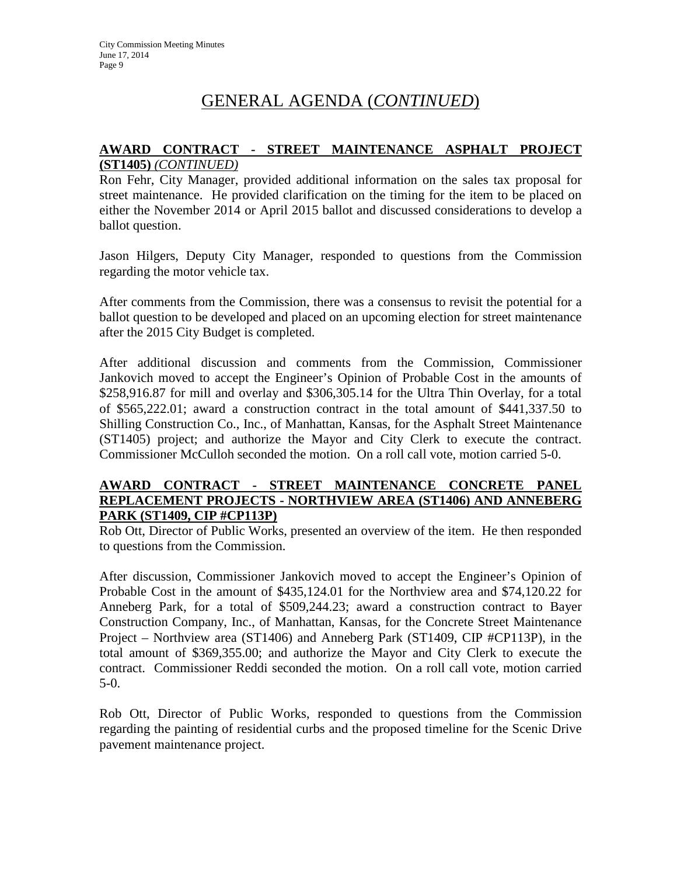# GENERAL AGENDA (*CONTINUED*)

#### **AWARD CONTRACT - STREET MAINTENANCE ASPHALT PROJECT (ST1405)** *(CONTINUED)*

Ron Fehr, City Manager, provided additional information on the sales tax proposal for street maintenance. He provided clarification on the timing for the item to be placed on either the November 2014 or April 2015 ballot and discussed considerations to develop a ballot question.

Jason Hilgers, Deputy City Manager, responded to questions from the Commission regarding the motor vehicle tax.

After comments from the Commission, there was a consensus to revisit the potential for a ballot question to be developed and placed on an upcoming election for street maintenance after the 2015 City Budget is completed.

After additional discussion and comments from the Commission, Commissioner Jankovich moved to accept the Engineer's Opinion of Probable Cost in the amounts of \$258,916.87 for mill and overlay and \$306,305.14 for the Ultra Thin Overlay, for a total of \$565,222.01; award a construction contract in the total amount of \$441,337.50 to Shilling Construction Co., Inc., of Manhattan, Kansas, for the Asphalt Street Maintenance (ST1405) project; and authorize the Mayor and City Clerk to execute the contract. Commissioner McCulloh seconded the motion. On a roll call vote, motion carried 5-0.

#### **AWARD CONTRACT - STREET MAINTENANCE CONCRETE PANEL REPLACEMENT PROJECTS - NORTHVIEW AREA (ST1406) AND ANNEBERG PARK (ST1409, CIP #CP113P)**

Rob Ott, Director of Public Works, presented an overview of the item. He then responded to questions from the Commission.

After discussion, Commissioner Jankovich moved to accept the Engineer's Opinion of Probable Cost in the amount of \$435,124.01 for the Northview area and \$74,120.22 for Anneberg Park, for a total of \$509,244.23; award a construction contract to Bayer Construction Company, Inc., of Manhattan, Kansas, for the Concrete Street Maintenance Project – Northview area (ST1406) and Anneberg Park (ST1409, CIP #CP113P), in the total amount of \$369,355.00; and authorize the Mayor and City Clerk to execute the contract. Commissioner Reddi seconded the motion. On a roll call vote, motion carried 5-0.

Rob Ott, Director of Public Works, responded to questions from the Commission regarding the painting of residential curbs and the proposed timeline for the Scenic Drive pavement maintenance project.